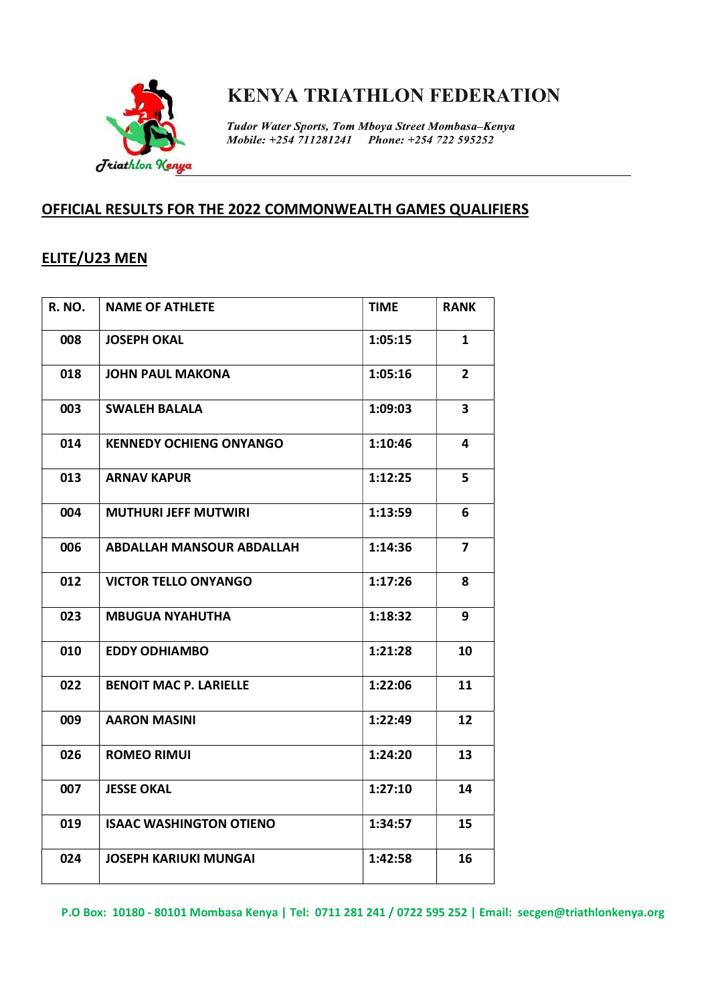

Tudor Water Sports, Tom Mboya Street Mombasa-Kenya Mobile: +254 711281241 Phone: +254 722 595252

### OFFICIAL RESULTS FOR THE 2022 COMMONWEALTH GAMES QUALIFIERS

### ELITE/U23 MEN

| <b>R. NO.</b> | <b>NAME OF ATHLETE</b>           | <b>TIME</b> | <b>RANK</b>    |
|---------------|----------------------------------|-------------|----------------|
| 008           | <b>JOSEPH OKAL</b>               | 1:05:15     | $\mathbf{1}$   |
| 018           | <b>JOHN PAUL MAKONA</b>          | 1:05:16     | $\overline{2}$ |
| 003           | <b>SWALEH BALALA</b>             | 1:09:03     | 3              |
| 014           | <b>KENNEDY OCHIENG ONYANGO</b>   | 1:10:46     | 4              |
| 013           | <b>ARNAV KAPUR</b>               | 1:12:25     | 5              |
| 004           | <b>MUTHURI JEFF MUTWIRI</b>      | 1:13:59     | 6              |
| 006           | <b>ABDALLAH MANSOUR ABDALLAH</b> | 1:14:36     | $\overline{7}$ |
| 012           | <b>VICTOR TELLO ONYANGO</b>      | 1:17:26     | 8              |
| 023           | <b>MBUGUA NYAHUTHA</b>           | 1:18:32     | 9              |
| 010           | <b>EDDY ODHIAMBO</b>             | 1:21:28     | 10             |
| 022           | <b>BENOIT MAC P. LARIELLE</b>    | 1:22:06     | 11             |
| 009           | <b>AARON MASINI</b>              | 1:22:49     | 12             |
| 026           | <b>ROMEO RIMUI</b>               | 1:24:20     | 13             |
| 007           | <b>JESSE OKAL</b>                | 1:27:10     | 14             |
| 019           | <b>ISAAC WASHINGTON OTIENO</b>   | 1:34:57     | 15             |
| 024           | <b>JOSEPH KARIUKI MUNGAI</b>     | 1:42:58     | 16             |

P.O Box: 10180 - 80101 Mombasa Kenya | Tel: 0711 281 241 / 0722 595 252 | Email: secgen@triathlonkenya.org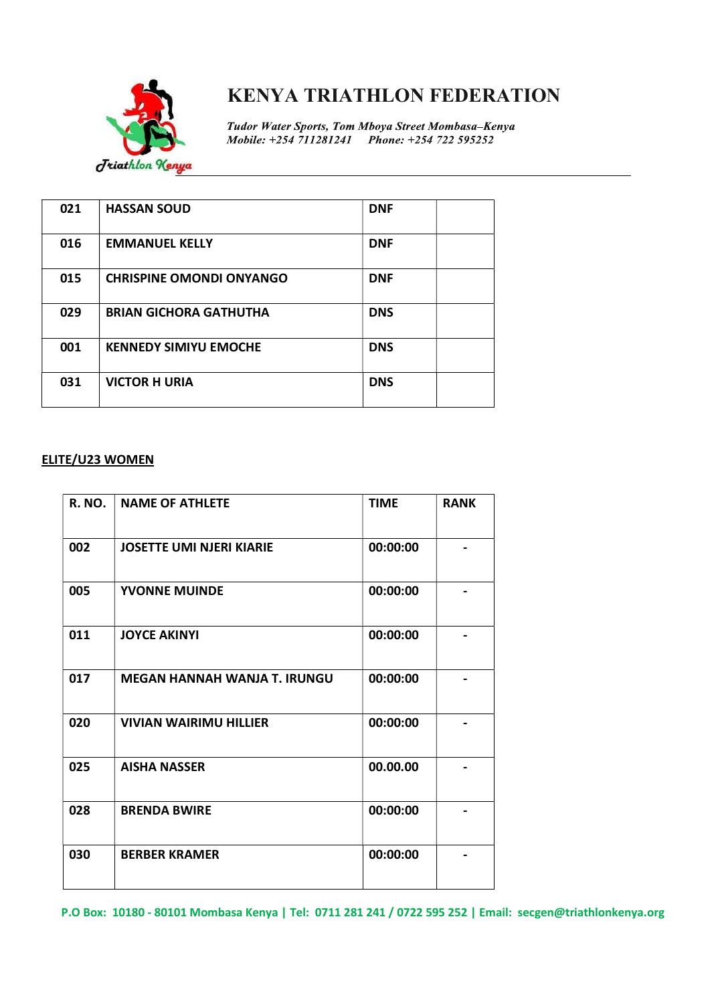

Tudor Water Sports, Tom Mboya Street Mombasa-Kenya Mobile: +254 711281241 Phone: +254 722 595252

| 021 | <b>HASSAN SOUD</b>              | <b>DNF</b> |  |
|-----|---------------------------------|------------|--|
| 016 | <b>EMMANUEL KELLY</b>           | <b>DNF</b> |  |
| 015 | <b>CHRISPINE OMONDI ONYANGO</b> | <b>DNF</b> |  |
| 029 | <b>BRIAN GICHORA GATHUTHA</b>   | <b>DNS</b> |  |
| 001 | <b>KENNEDY SIMIYU EMOCHE</b>    | <b>DNS</b> |  |
| 031 | <b>VICTOR H URIA</b>            | <b>DNS</b> |  |

#### ELITE/U23 WOMEN

| <b>R. NO.</b> | <b>NAME OF ATHLETE</b>          | <b>TIME</b> | <b>RANK</b> |
|---------------|---------------------------------|-------------|-------------|
| 002           | <b>JOSETTE UMI NJERI KIARIE</b> | 00:00:00    |             |
| 005           | <b>YVONNE MUINDE</b>            | 00:00:00    |             |
| 011           | <b>JOYCE AKINYI</b>             | 00:00:00    |             |
| 017           | MEGAN HANNAH WANJA T. IRUNGU    | 00:00:00    |             |
| 020           | <b>VIVIAN WAIRIMU HILLIER</b>   | 00:00:00    |             |
| 025           | <b>AISHA NASSER</b>             | 00.00.00    |             |
| 028           | <b>BRENDA BWIRE</b>             | 00:00:00    |             |
| 030           | <b>BERBER KRAMER</b>            | 00:00:00    |             |

P.O Box: 10180 - 80101 Mombasa Kenya | Tel: 0711 281 241 / 0722 595 252 | Email: secgen@triathlonkenya.org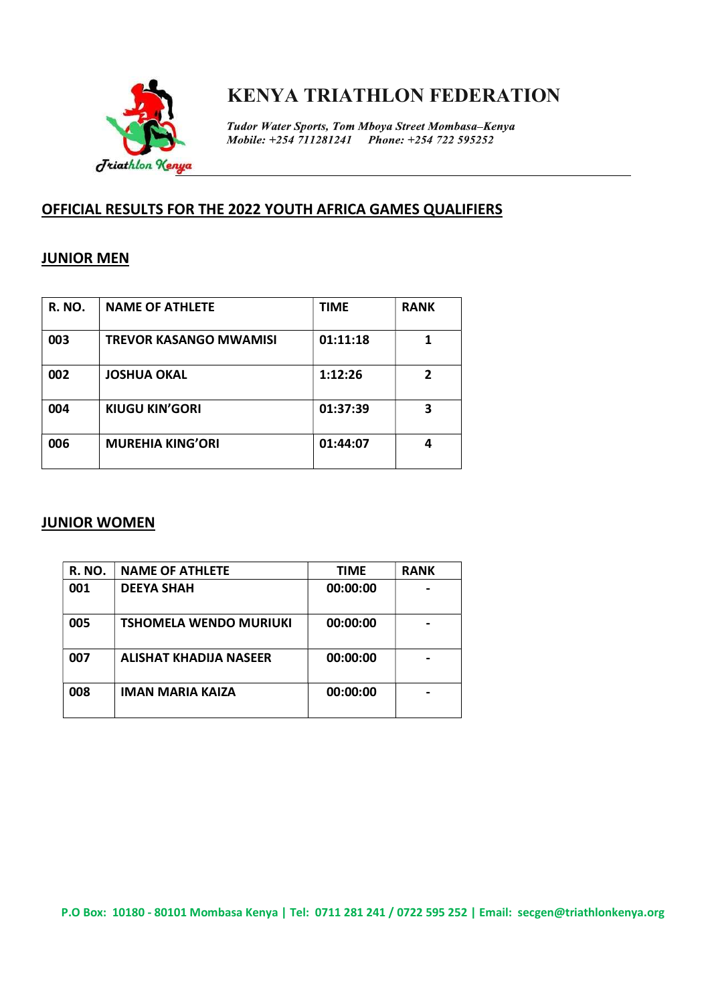

Tudor Water Sports, Tom Mboya Street Mombasa-Kenya Mobile: +254 711281241 Phone: +254 722 595252

## OFFICIAL RESULTS FOR THE 2022 YOUTH AFRICA GAMES QUALIFIERS

### JUNIOR MEN

| <b>R. NO.</b> | <b>NAME OF ATHLETE</b>        | <b>TIME</b> | <b>RANK</b> |
|---------------|-------------------------------|-------------|-------------|
| 003           | <b>TREVOR KASANGO MWAMISI</b> | 01:11:18    |             |
| 002           | <b>JOSHUA OKAL</b>            | 1:12:26     |             |
| 004           | <b>KIUGU KIN'GORI</b>         | 01:37:39    | 3           |
| 006           | <b>MUREHIA KING'ORI</b>       | 01:44:07    |             |

### JUNIOR WOMEN

| <b>R. NO.</b> | <b>NAME OF ATHLETE</b>        | <b>TIME</b> | <b>RANK</b> |
|---------------|-------------------------------|-------------|-------------|
| 001           | <b>DEEYA SHAH</b>             | 00:00:00    |             |
| 005           | <b>TSHOMELA WENDO MURIUKI</b> | 00:00:00    |             |
| 007           | ALISHAT KHADIJA NASEER        | 00:00:00    |             |
| 008           | <b>IMAN MARIA KAIZA</b>       | 00:00:00    |             |

P.O Box: 10180 - 80101 Mombasa Kenya | Tel: 0711 281 241 / 0722 595 252 | Email: secgen@triathlonkenya.org